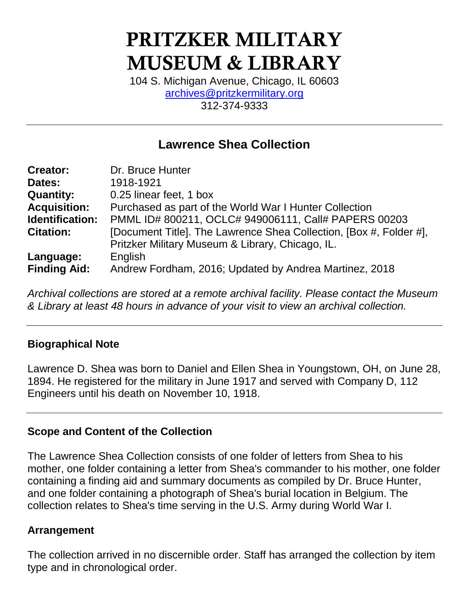# PRITZKER MILITARY MUSEUM & LIBRARY

104 S. Michigan Avenue, Chicago, IL 60603 [archives@pritzkermilitary.org](mailto:archives@pritzkermilitary.org) 312-374-9333

# **Lawrence Shea Collection**

| <b>Creator:</b>     | Dr. Bruce Hunter                                                   |
|---------------------|--------------------------------------------------------------------|
| Dates:              | 1918-1921                                                          |
| <b>Quantity:</b>    | 0.25 linear feet, 1 box                                            |
| <b>Acquisition:</b> | Purchased as part of the World War I Hunter Collection             |
| Identification:     | PMML ID# 800211, OCLC# 949006111, Call# PAPERS 00203               |
| <b>Citation:</b>    | [Document Title]. The Lawrence Shea Collection, [Box #, Folder #], |
|                     | Pritzker Military Museum & Library, Chicago, IL.                   |
| Language:           | English                                                            |
| <b>Finding Aid:</b> | Andrew Fordham, 2016; Updated by Andrea Martinez, 2018             |

*Archival collections are stored at a remote archival facility. Please contact the Museum & Library at least 48 hours in advance of your visit to view an archival collection.*

### **Biographical Note**

Lawrence D. Shea was born to Daniel and Ellen Shea in Youngstown, OH, on June 28, 1894. He registered for the military in June 1917 and served with Company D, 112 Engineers until his death on November 10, 1918.

#### **Scope and Content of the Collection**

The Lawrence Shea Collection consists of one folder of letters from Shea to his mother, one folder containing a letter from Shea's commander to his mother, one folder containing a finding aid and summary documents as compiled by Dr. Bruce Hunter, and one folder containing a photograph of Shea's burial location in Belgium. The collection relates to Shea's time serving in the U.S. Army during World War I.

#### **Arrangement**

The collection arrived in no discernible order. Staff has arranged the collection by item type and in chronological order.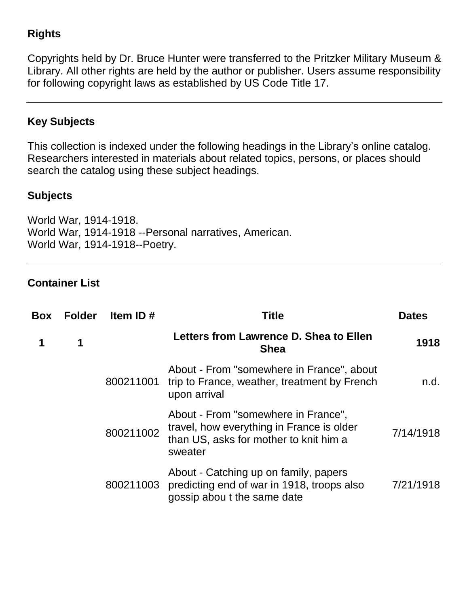# **Rights**

Copyrights held by Dr. Bruce Hunter were transferred to the Pritzker Military Museum & Library. All other rights are held by the author or publisher. Users assume responsibility for following copyright laws as established by US Code Title 17.

# **Key Subjects**

This collection is indexed under the following headings in the Library's online catalog. Researchers interested in materials about related topics, persons, or places should search the catalog using these subject headings.

#### **Subjects**

World War, 1914-1918. World War, 1914-1918 --Personal narratives, American. World War, 1914-1918--Poetry.

#### **Container List**

| <b>Box</b> | <b>Folder</b> | Item ID $#$ | Title                                                                                                                                 | <b>Dates</b> |
|------------|---------------|-------------|---------------------------------------------------------------------------------------------------------------------------------------|--------------|
|            | 1             |             | Letters from Lawrence D. Shea to Ellen<br><b>Shea</b>                                                                                 | 1918         |
|            |               | 800211001   | About - From "somewhere in France", about<br>trip to France, weather, treatment by French<br>upon arrival                             | n.d.         |
|            |               | 800211002   | About - From "somewhere in France",<br>travel, how everything in France is older<br>than US, asks for mother to knit him a<br>sweater | 7/14/1918    |
|            |               |             | About - Catching up on family, papers<br>800211003 predicting end of war in 1918, troops also<br>gossip about the same date           | 7/21/1918    |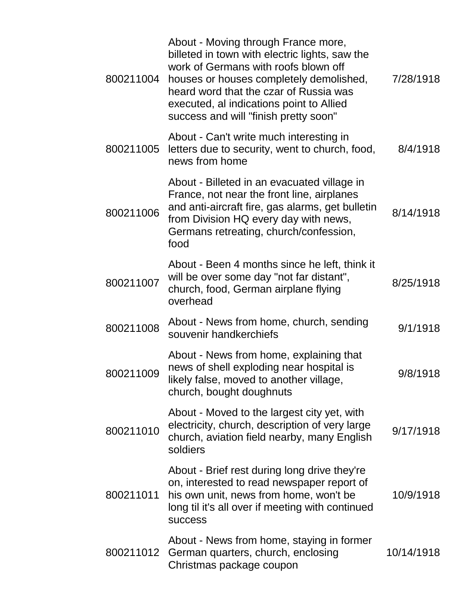| 800211004 | About - Moving through France more,<br>billeted in town with electric lights, saw the<br>work of Germans with roofs blown off<br>houses or houses completely demolished,<br>heard word that the czar of Russia was<br>executed, al indications point to Allied<br>success and will "finish pretty soon" | 7/28/1918  |
|-----------|---------------------------------------------------------------------------------------------------------------------------------------------------------------------------------------------------------------------------------------------------------------------------------------------------------|------------|
| 800211005 | About - Can't write much interesting in<br>letters due to security, went to church, food,<br>news from home                                                                                                                                                                                             | 8/4/1918   |
| 800211006 | About - Billeted in an evacuated village in<br>France, not near the front line, airplanes<br>and anti-aircraft fire, gas alarms, get bulletin<br>from Division HQ every day with news,<br>Germans retreating, church/confession,<br>food                                                                | 8/14/1918  |
| 800211007 | About - Been 4 months since he left, think it<br>will be over some day "not far distant",<br>church, food, German airplane flying<br>overhead                                                                                                                                                           | 8/25/1918  |
| 800211008 | About - News from home, church, sending<br>souvenir handkerchiefs                                                                                                                                                                                                                                       | 9/1/1918   |
| 800211009 | About - News from home, explaining that<br>news of shell exploding near hospital is<br>likely false, moved to another village,<br>church, bought doughnuts                                                                                                                                              | 9/8/1918   |
| 800211010 | About - Moved to the largest city yet, with<br>electricity, church, description of very large<br>church, aviation field nearby, many English<br>soldiers                                                                                                                                                | 9/17/1918  |
| 800211011 | About - Brief rest during long drive they're<br>on, interested to read newspaper report of<br>his own unit, news from home, won't be<br>long til it's all over if meeting with continued<br><b>SUCCESS</b>                                                                                              | 10/9/1918  |
| 800211012 | About - News from home, staying in former<br>German quarters, church, enclosing<br>Christmas package coupon                                                                                                                                                                                             | 10/14/1918 |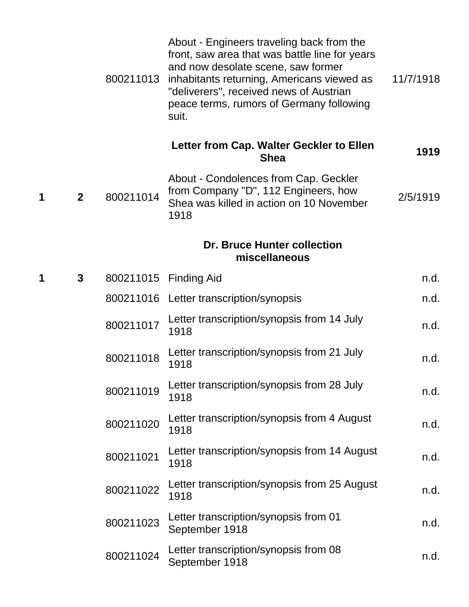|   |                | 800211013 | About - Engineers traveling back from the<br>front, saw area that was battle line for years<br>and now desolate scene, saw former<br>inhabitants returning, Americans viewed as<br>"deliverers", received news of Austrian<br>peace terms, rumors of Germany following<br>suit. | 11/7/1918 |
|---|----------------|-----------|---------------------------------------------------------------------------------------------------------------------------------------------------------------------------------------------------------------------------------------------------------------------------------|-----------|
|   |                |           | Letter from Cap. Walter Geckler to Ellen<br><b>Shea</b>                                                                                                                                                                                                                         | 1919      |
| 1 | $\overline{2}$ | 800211014 | About - Condolences from Cap. Geckler<br>from Company "D", 112 Engineers, how<br>Shea was killed in action on 10 November<br>1918                                                                                                                                               | 2/5/1919  |
|   |                |           | <b>Dr. Bruce Hunter collection</b><br>miscellaneous                                                                                                                                                                                                                             |           |
| 1 | $\mathbf{3}$   |           | 800211015 Finding Aid                                                                                                                                                                                                                                                           | n.d.      |
|   |                |           | 800211016 Letter transcription/synopsis                                                                                                                                                                                                                                         | n.d.      |
|   |                | 800211017 | Letter transcription/synopsis from 14 July<br>1918                                                                                                                                                                                                                              | n.d.      |
|   |                | 800211018 | Letter transcription/synopsis from 21 July<br>1918                                                                                                                                                                                                                              | n.d.      |
|   |                | 800211019 | Letter transcription/synopsis from 28 July<br>1918                                                                                                                                                                                                                              | n.d.      |
|   |                | 800211020 | Letter transcription/synopsis from 4 August<br>1918                                                                                                                                                                                                                             | n.d.      |
|   |                | 800211021 | Letter transcription/synopsis from 14 August<br>1918                                                                                                                                                                                                                            | n.d.      |
|   |                | 800211022 | Letter transcription/synopsis from 25 August<br>1918                                                                                                                                                                                                                            | n.d.      |
|   |                | 800211023 | Letter transcription/synopsis from 01<br>September 1918                                                                                                                                                                                                                         | n.d.      |
|   |                | 800211024 | Letter transcription/synopsis from 08<br>September 1918                                                                                                                                                                                                                         | n.d.      |